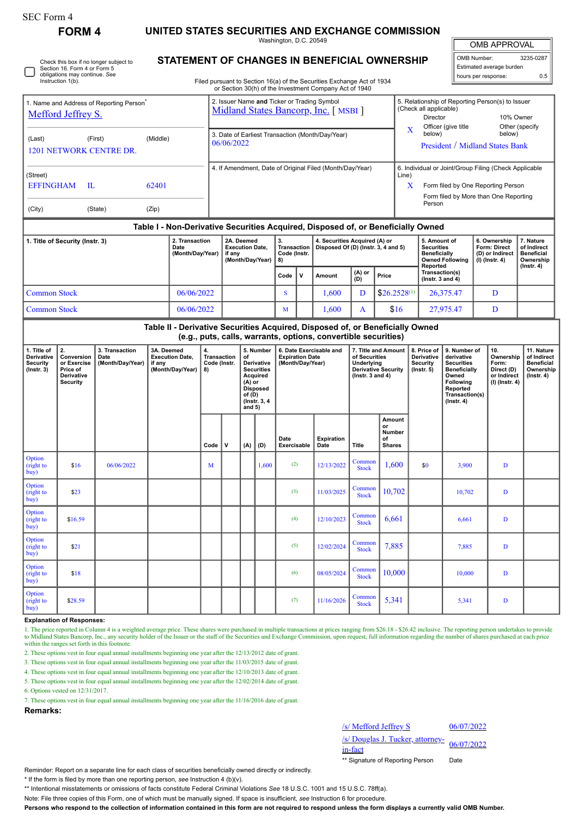| 11<br>$\Omega$ |  |
|----------------|--|
|----------------|--|

# **FORM 4 UNITED STATES SECURITIES AND EXCHANGE COMMISSION**

Washington, D.C. 20549

 $\parallel$ OMB APPROVAL

| OMB Number:<br>3235-0287 |     |  |  |  |  |  |  |  |
|--------------------------|-----|--|--|--|--|--|--|--|
| Estimated average burden |     |  |  |  |  |  |  |  |
| hours per response:      | 0.5 |  |  |  |  |  |  |  |

Check this box if no longer subject to Section 16. Form 4 or Form 5 obligations may continue. *See* Instruction 1(b)

## **STATEMENT OF CHANGES IN BENEFICIAL OWNERSHIP**

Filed pursuant to Section 16(a) of the Securities Exchange Act of 1934 or Section 30(h) of the Investment Company Act of 1940

| 1. Name and Address of Reporting Person <sup>®</sup><br><b>Mefford Jeffrey S.</b>                              |                                                |       | 2. Issuer Name and Ticker or Trading Symbol<br>Midland States Bancorp, Inc. [MSBI] |       | 5. Relationship of Reporting Person(s) to Issuer<br>(Check all applicable)<br>Director<br>Officer (give title                                  | 10% Owner<br>Other (specify |  |  |  |  |
|----------------------------------------------------------------------------------------------------------------|------------------------------------------------|-------|------------------------------------------------------------------------------------|-------|------------------------------------------------------------------------------------------------------------------------------------------------|-----------------------------|--|--|--|--|
| (Last)                                                                                                         | (Middle)<br>(First)<br>1201 NETWORK CENTRE DR. |       | 3. Date of Earliest Transaction (Month/Day/Year)<br>06/06/2022                     | x     | below)<br>President / Midland States Bank                                                                                                      | below)                      |  |  |  |  |
| (Street)<br><b>EFFINGHAM</b>                                                                                   | H.                                             | 62401 | 4. If Amendment, Date of Original Filed (Month/Day/Year)                           | Line) | 6. Individual or Joint/Group Filing (Check Applicable<br>Form filed by One Reporting Person<br>Form filed by More than One Reporting<br>Person |                             |  |  |  |  |
| (City)<br>(State)<br>(Zip)<br>Table I - Non-Derivative Securities Acquired, Disposed of, or Beneficially Owned |                                                |       |                                                                                    |       |                                                                                                                                                |                             |  |  |  |  |

| 1. Title of Security (Instr. 3) | 2. Transaction<br>Date<br>(Month/Day/Year) | 2A. Deemed<br><b>Execution Date.</b><br>if anv<br>(Month/Dav/Year) $  8$ ) | 3.<br><b>Transaction</b><br>Code (Instr. | 4. Securities Acquired (A) or<br>Disposed Of (D) (Instr. 3, 4 and 5) |               | 5. Amount of<br>Securities<br><b>Beneficially</b><br><b>Owned Following</b><br>Reported | 6. Ownership<br>Form: Direct<br>(D) or Indirect<br>(I) (Instr. 4) | ∴ Nature<br>of Indirect<br><b>Beneficial</b><br>Ownership<br>$($ lnstr. 4 $)$ |  |
|---------------------------------|--------------------------------------------|----------------------------------------------------------------------------|------------------------------------------|----------------------------------------------------------------------|---------------|-----------------------------------------------------------------------------------------|-------------------------------------------------------------------|-------------------------------------------------------------------------------|--|
|                                 |                                            |                                                                            | Code                                     | Amount                                                               | (A) or<br>(D) | Price                                                                                   | Transaction(s)<br>( $lnstr. 3 and 4$ )                            |                                                                               |  |
| <b>Common Stock</b>             | 06/06/2022                                 |                                                                            | 5                                        | .600                                                                 |               | $$26.2528^{(1)}$                                                                        | 26,375.47                                                         | D                                                                             |  |
| <b>Common Stock</b>             | 06/06/2022                                 |                                                                            | M                                        | .600                                                                 |               | \$16                                                                                    | 27.975.47                                                         | D                                                                             |  |

### **Table II - Derivative Securities Acquired, Disposed of, or Beneficially Owned (e.g., puts, calls, warrants, options, convertible securities) 2. Conversion or Exercise Price of Derivative Security 3. Transaction Date (Month/Day/Year) 3A. Deemed Execution Date, if any (Month/Day/Year) Code (Instr. 8)** Tra **Transaction 5. Number of Derivative Securities Acquired (A) or 6. Date Exercisable and Expiration Date (Month/Day/Year) 7. Title and Amount of Securities Underlying Derivative Security (Instr. 3 and 4) 8. Price of Derivative Security (Instr. 5) 9. Number of derivative Securities Beneficially Owned Following 10. Ownership Form: Direct (D) or Indirect (I) (Instr. 4) 11. Nature of Indirect Beneficial Ownership**

|                              | Derivative<br><b>Security</b> |            |      |             | Acquired<br>(A) or<br><b>Disposed</b><br>of(D)<br>$($ lnstr. 3, 4<br>and $5)$ |       |                     |                    | (Instr. $3$ and $4$ )  |                                               |     | Owned<br>Following<br>Reported<br>Transaction(s)<br>$($ Instr. 4 $)$ | or Indirect<br>(I) (Instr. 4) | $($ lnstr. 4 $)$ |
|------------------------------|-------------------------------|------------|------|-------------|-------------------------------------------------------------------------------|-------|---------------------|--------------------|------------------------|-----------------------------------------------|-----|----------------------------------------------------------------------|-------------------------------|------------------|
|                              |                               |            | Code | $\mathbf v$ | (A)                                                                           | (D)   | Date<br>Exercisable | Expiration<br>Date | Title                  | Amount<br>or<br>Number<br>of<br><b>Shares</b> |     |                                                                      |                               |                  |
| Option<br>(right to<br>buy)  | \$16                          | 06/06/2022 | M    |             |                                                                               | 1,600 | (2)                 | 12/13/2022         | Common<br><b>Stock</b> | 1,600                                         | \$0 | 3,900                                                                | D                             |                  |
| Option<br>(right to<br> buy) | \$23                          |            |      |             |                                                                               |       | (3)                 | 11/03/2025         | Common<br><b>Stock</b> | 10,702                                        |     | 10,702                                                               | D                             |                  |
| Option<br>(right to<br>buy   | \$16.59                       |            |      |             |                                                                               |       | (4)                 | 12/10/2023         | Common<br><b>Stock</b> | 6,661                                         |     | 6,661                                                                | D                             |                  |
| Option<br>(right to<br> buy) | \$21                          |            |      |             |                                                                               |       | (5)                 | 12/02/2024         | Common<br><b>Stock</b> | 7,885                                         |     | 7,885                                                                | D                             |                  |
| Option<br>(right to<br>buy)  | \$18                          |            |      |             |                                                                               |       | (6)                 | 08/05/2024         | Common<br><b>Stock</b> | 10,000                                        |     | 10,000                                                               | D                             |                  |
| Option<br>(right to<br>buy   | \$28.59                       |            |      |             |                                                                               |       | (7)                 | 11/16/2026         | Common<br><b>Stock</b> | 5,341                                         |     | 5,341                                                                | D                             |                  |

## **Explanation of Responses:**

1. The price reported in Column 4 is a weighted average price. These shares were purchased in multiple transactions at prices ranging from \$26.18 - \$26.42 inclusive. The reporting person undertakes to provide to Midland States Bancorp, Inc., any security holder of the Issuer or the staff of the Securities and Exchange Commission, upon request, full information regarding the number of shares purchased at each price within the ra

2. These options vest in four equal annual installments beginning one year after the 12/13/2012 date of grant.

3. These options vest in four equal annual installments beginning one year after the 11/03/2015 date of grant.

4. These options vest in four equal annual installments beginning one year after the 12/10/2013 date of grant.

5. These options vest in four equal annual installments beginning one year after the 12/02/2014 date of grant.

6. Options vested on 12/31/2017.

7. These options vest in four equal annual installments beginning one year after the 11/16/2016 date of grant.

**Remarks:**

**1. Title of Derivative Security (Instr. 3)**

# /s/ Mefford Jeffrey S 06/07/2022 /s/ Douglas J. Tucker, attorney-<br>in-fact

\*\* Signature of Reporting Person Date

Reminder: Report on a separate line for each class of securities beneficially owned directly or indirectly.

\* If the form is filed by more than one reporting person, *see* Instruction 4 (b)(v).

\*\* Intentional misstatements or omissions of facts constitute Federal Criminal Violations *See* 18 U.S.C. 1001 and 15 U.S.C. 78ff(a).

Note: File three copies of this Form, one of which must be manually signed. If space is insufficient, *see* Instruction 6 for procedure.

**Persons who respond to the collection of information contained in this form are not required to respond unless the form displays a currently valid OMB Number.**